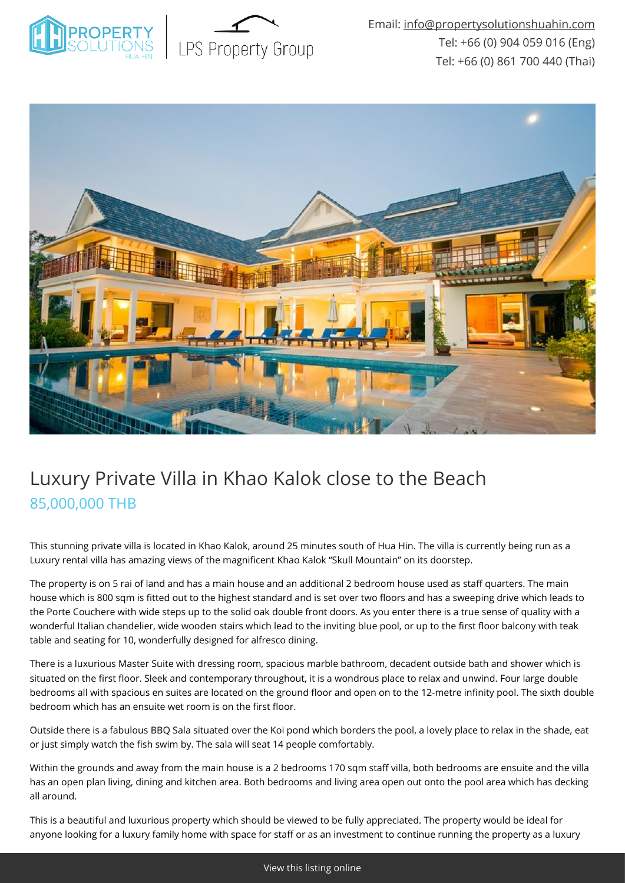



# Luxury Private Villa in Khao Kalok close to the Beach 85,000,000 THB

This stunning private villa is located in Khao Kalok, around 25 minutes south of Hua Hin. The villa is currently being run as a Luxury rental villa has amazing views of the magnificent Khao Kalok "Skull Mountain" on its doorstep.

The property is on 5 rai of land and has a main house and an additional 2 bedroom house used as staff quarters. The main house which is 800 sqm is fitted out to the highest standard and is set over two floors and has a sweeping drive which leads to the Porte Couchere with wide steps up to the solid oak double front doors. As you enter there is a true sense of quality with a wonderful Italian chandelier, wide wooden stairs which lead to the inviting blue pool, or up to the first floor balcony with teak table and seating for 10, wonderfully designed for alfresco dining.

There is a luxurious Master Suite with dressing room, spacious marble bathroom, decadent outside bath and shower which is situated on the first floor. Sleek and contemporary throughout, it is a wondrous place to relax and unwind. Four large double bedrooms all with spacious en suites are located on the ground floor and open on to the 12-metre infinity pool. The sixth double bedroom which has an ensuite wet room is on the first floor.

Outside there is a fabulous BBQ Sala situated over the Koi pond which borders the pool, a lovely place to relax in the shade, eat or just simply watch the fish swim by. The sala will seat 14 people comfortably.

Within the grounds and away from the main house is a 2 bedrooms 170 sqm staff villa, both bedrooms are ensuite and the villa has an open plan living, dining and kitchen area. Both bedrooms and living area open out onto the pool area which has decking all around.

This is a beautiful and luxurious property which should be viewed to be fully appreciated. The property would be ideal for anyone looking for a luxury family home with space for staff or as an investment to continue running the property as a luxury

[View this listing online](https://www.propertysolutionshuahin.com/properties/luxury-private-villa-in-khao-kalok-close-to-the-beach/)